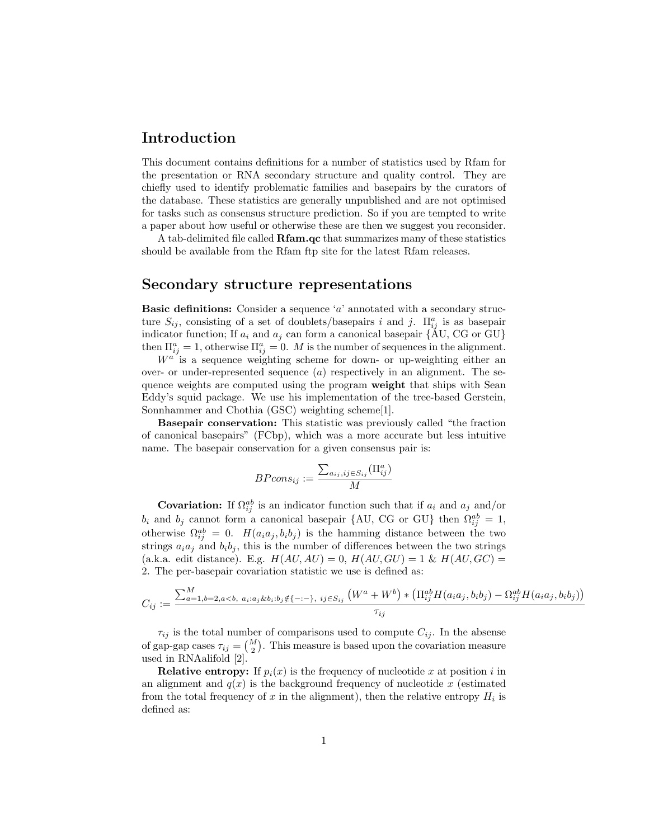## Introduction

This document contains definitions for a number of statistics used by Rfam for the presentation or RNA secondary structure and quality control. They are chiefly used to identify problematic families and basepairs by the curators of the database. These statistics are generally unpublished and are not optimised for tasks such as consensus structure prediction. So if you are tempted to write a paper about how useful or otherwise these are then we suggest you reconsider.

A tab-delimited file called Rfam.qc that summarizes many of these statistics should be available from the Rfam ftp site for the latest Rfam releases.

## Secondary structure representations

**Basic definitions:** Consider a sequence  $a'$  annotated with a secondary structure  $S_{ij}$ , consisting of a set of doublets/basepairs i and j.  $\Pi_{ij}^a$  is as basepair indicator function; If  $a_i$  and  $a_j$  can form a canonical basepair {AU, CG or GU} then  $\Pi_{ij}^a = 1$ , otherwise  $\Pi_{ij}^a = 0$ . M is the number of sequences in the alignment.

 $W^{a}$  is a sequence weighting scheme for down- or up-weighting either an over- or under-represented sequence  $(a)$  respectively in an alignment. The sequence weights are computed using the program weight that ships with Sean Eddy's squid package. We use his implementation of the tree-based Gerstein, Sonnhammer and Chothia (GSC) weighting scheme[1].

Basepair conservation: This statistic was previously called "the fraction of canonical basepairs" (FCbp), which was a more accurate but less intuitive name. The basepair conservation for a given consensus pair is:

$$
BPcons_{ij} := \frac{\sum_{a_{ij},ij \in S_{ij}} (\Pi_{ij}^a)}{M}
$$

**Covariation:** If  $\Omega_{ij}^{ab}$  is an indicator function such that if  $a_i$  and  $a_j$  and/or  $b_i$  and  $b_j$  cannot form a canonical basepair {AU, CG or GU} then  $\Omega_{ij}^{ab} = 1$ , otherwise  $\Omega_{ij}^{ab} = 0$ .  $H(a_i a_j, b_i b_j)$  is the hamming distance between the two strings  $a_i a_j$  and  $b_i b_j$ , this is the number of differences between the two strings (a.k.a. edit distance). E.g.  $H(AU, AU) = 0$ ,  $H(AU, GU) = 1$  &  $H(AU, GC) =$ 2. The per-basepair covariation statistic we use is defined as:

$$
C_{ij} := \frac{\sum_{a=1,b=2,a
$$

 $\tau_{ij}$  is the total number of comparisons used to compute  $C_{ij}$ . In the absense of gap-gap cases  $\tau_{ij} = \binom{M}{2}$ . This measure is based upon the covariation measure used in RNAalifold [2].

**Relative entropy:** If  $p_i(x)$  is the frequency of nucleotide x at position i in an alignment and  $q(x)$  is the background frequency of nucleotide x (estimated from the total frequency of x in the alignment), then the relative entropy  $H_i$  is defined as: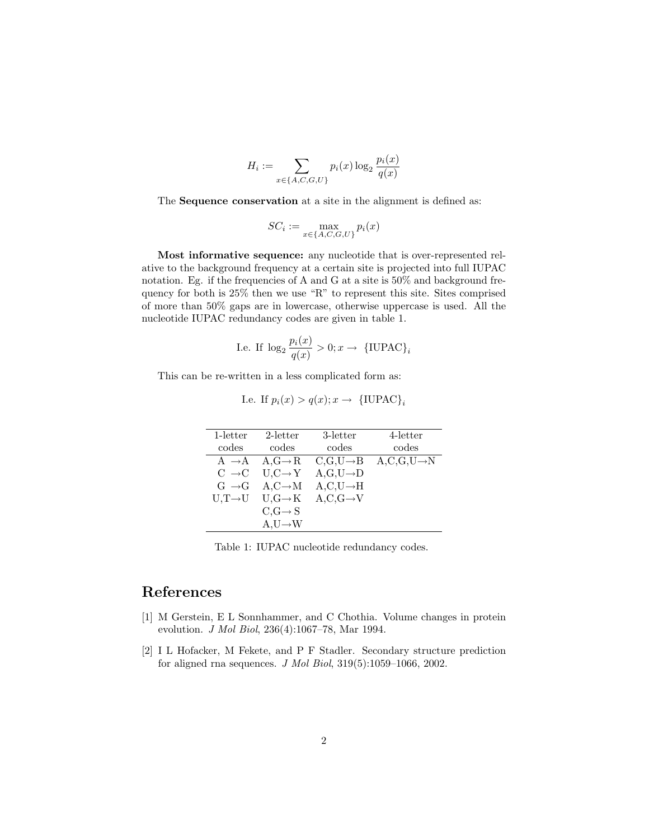$$
H_i := \sum_{x \in \{A, C, G, U\}} p_i(x) \log_2 \frac{p_i(x)}{q(x)}
$$

The Sequence conservation at a site in the alignment is defined as:

$$
SC_i := \max_{x \in \{A, C, G, U\}} p_i(x)
$$

Most informative sequence: any nucleotide that is over-represented relative to the background frequency at a certain site is projected into full IUPAC notation. Eg. if the frequencies of A and G at a site is 50% and background frequency for both is 25% then we use "R" to represent this site. Sites comprised of more than 50% gaps are in lowercase, otherwise uppercase is used. All the nucleotide IUPAC redundancy codes are given in table 1.

I.e. If 
$$
\log_2 \frac{p_i(x)}{q(x)} > 0; x \to \{\text{IUPAC}\}_i
$$

This can be re-written in a less complicated form as:

I.e. If 
$$
p_i(x) > q(x); x \rightarrow \{\text{IUPAC}\}_i
$$

| $1$ -letter       | 2-letter                              | 3-letter                | 4-letter                   |
|-------------------|---------------------------------------|-------------------------|----------------------------|
| codes             | codes                                 | codes                   | codes                      |
| $A \rightarrow A$ | $A,G \rightarrow R$                   | $C,G,U\rightarrow B$    | $A, C, G, U \rightarrow N$ |
| $C \rightarrow C$ | $U, C \rightarrow Y$                  | $A, G, U \rightarrow D$ |                            |
| $G \rightarrow G$ | $A, C \rightarrow M$                  | $A, C, U \rightarrow H$ |                            |
|                   | $U,T\rightarrow U$ $U,G\rightarrow K$ | $A, C, G \rightarrow V$ |                            |
|                   | $C,G \rightarrow S$                   |                         |                            |
|                   | $A, U \rightarrow W$                  |                         |                            |

Table 1: IUPAC nucleotide redundancy codes.

## References

- [1] M Gerstein, E L Sonnhammer, and C Chothia. Volume changes in protein evolution. J Mol Biol, 236(4):1067–78, Mar 1994.
- [2] I L Hofacker, M Fekete, and P F Stadler. Secondary structure prediction for aligned rna sequences. J Mol Biol, 319(5):1059–1066, 2002.